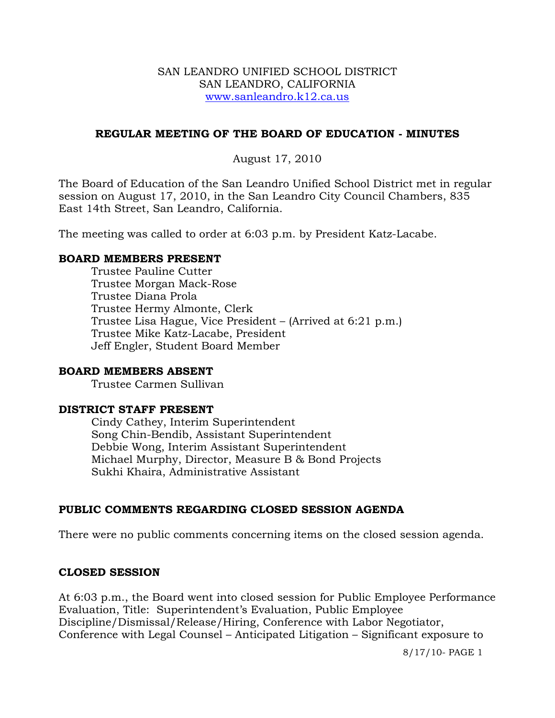#### SAN LEANDRO UNIFIED SCHOOL DISTRICT SAN LEANDRO, CALIFORNIA www.sanleandro.k12.ca.us

### **REGULAR MEETING OF THE BOARD OF EDUCATION - MINUTES**

## August 17, 2010

The Board of Education of the San Leandro Unified School District met in regular session on August 17, 2010, in the San Leandro City Council Chambers, 835 East 14th Street, San Leandro, California.

The meeting was called to order at 6:03 p.m. by President Katz-Lacabe.

#### **BOARD MEMBERS PRESENT**

Trustee Pauline Cutter Trustee Morgan Mack-Rose Trustee Diana Prola Trustee Hermy Almonte, Clerk Trustee Lisa Hague, Vice President – (Arrived at 6:21 p.m.) Trustee Mike Katz-Lacabe, President Jeff Engler, Student Board Member

### **BOARD MEMBERS ABSENT**

Trustee Carmen Sullivan

#### **DISTRICT STAFF PRESENT**

Cindy Cathey, Interim Superintendent Song Chin-Bendib, Assistant Superintendent Debbie Wong, Interim Assistant Superintendent Michael Murphy, Director, Measure B & Bond Projects Sukhi Khaira, Administrative Assistant

### **PUBLIC COMMENTS REGARDING CLOSED SESSION AGENDA**

There were no public comments concerning items on the closed session agenda.

### **CLOSED SESSION**

At 6:03 p.m., the Board went into closed session for Public Employee Performance Evaluation, Title: Superintendent's Evaluation, Public Employee Discipline/Dismissal/Release/Hiring, Conference with Labor Negotiator, Conference with Legal Counsel – Anticipated Litigation – Significant exposure to

8/17/10- PAGE 1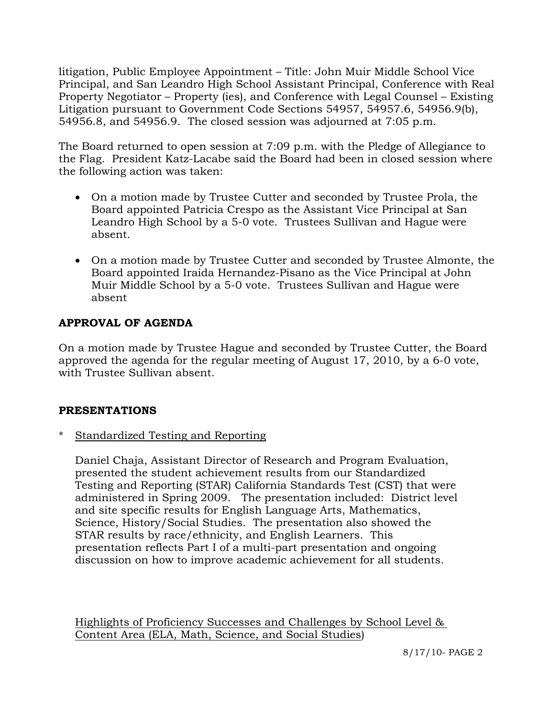litigation, Public Employee Appointment – Title: John Muir Middle School Vice Principal, and San Leandro High School Assistant Principal, Conference with Real Property Negotiator – Property (ies), and Conference with Legal Counsel – Existing Litigation pursuant to Government Code Sections 54957, 54957.6, 54956.9(b), 54956.8, and 54956.9. The closed session was adjourned at 7:05 p.m.

The Board returned to open session at 7:09 p.m. with the Pledge of Allegiance to the Flag. President Katz-Lacabe said the Board had been in closed session where the following action was taken:

- On a motion made by Trustee Cutter and seconded by Trustee Prola, the Board appointed Patricia Crespo as the Assistant Vice Principal at San Leandro High School by a 5-0 vote. Trustees Sullivan and Hague were absent.
- On a motion made by Trustee Cutter and seconded by Trustee Almonte, the Board appointed Iraida Hernandez-Pisano as the Vice Principal at John Muir Middle School by a 5-0 vote. Trustees Sullivan and Hague were absent

# **APPROVAL OF AGENDA**

On a motion made by Trustee Hague and seconded by Trustee Cutter, the Board approved the agenda for the regular meeting of August 17, 2010, by a 6-0 vote, with Trustee Sullivan absent.

### **PRESENTATIONS**

\* Standardized Testing and Reporting

 Daniel Chaja, Assistant Director of Research and Program Evaluation, presented the student achievement results from our Standardized Testing and Reporting (STAR) California Standards Test (CST) that were administered in Spring 2009. The presentation included: District level and site specific results for English Language Arts, Mathematics, Science, History/Social Studies. The presentation also showed the STAR results by race/ethnicity, and English Learners. This presentation reflects Part I of a multi-part presentation and ongoing discussion on how to improve academic achievement for all students.

Highlights of Proficiency Successes and Challenges by School Level & Content Area (ELA, Math, Science, and Social Studies)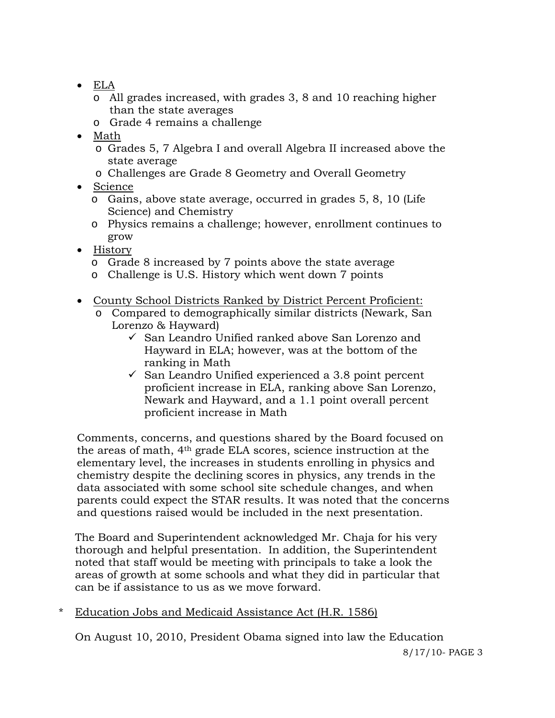- ELA
	- o All grades increased, with grades 3, 8 and 10 reaching higher than the state averages
	- o Grade 4 remains a challenge
- Math
	- o Grades 5, 7 Algebra I and overall Algebra II increased above the state average
	- o Challenges are Grade 8 Geometry and Overall Geometry
- Science
	- o Gains, above state average, occurred in grades 5, 8, 10 (Life Science) and Chemistry
	- o Physics remains a challenge; however, enrollment continues to grow
- History
	- o Grade 8 increased by 7 points above the state average
	- o Challenge is U.S. History which went down 7 points
- County School Districts Ranked by District Percent Proficient:
	- o Compared to demographically similar districts (Newark, San Lorenzo & Hayward)
		- $\checkmark$  San Leandro Unified ranked above San Lorenzo and Hayward in ELA; however, was at the bottom of the ranking in Math
		- $\checkmark$  San Leandro Unified experienced a 3.8 point percent proficient increase in ELA, ranking above San Lorenzo, Newark and Hayward, and a 1.1 point overall percent proficient increase in Math

Comments, concerns, and questions shared by the Board focused on the areas of math, 4th grade ELA scores, science instruction at the elementary level, the increases in students enrolling in physics and chemistry despite the declining scores in physics, any trends in the data associated with some school site schedule changes, and when parents could expect the STAR results. It was noted that the concerns and questions raised would be included in the next presentation.

The Board and Superintendent acknowledged Mr. Chaja for his very thorough and helpful presentation. In addition, the Superintendent noted that staff would be meeting with principals to take a look the areas of growth at some schools and what they did in particular that can be if assistance to us as we move forward.

\* Education Jobs and Medicaid Assistance Act (H.R. 1586)

On August 10, 2010, President Obama signed into law the Education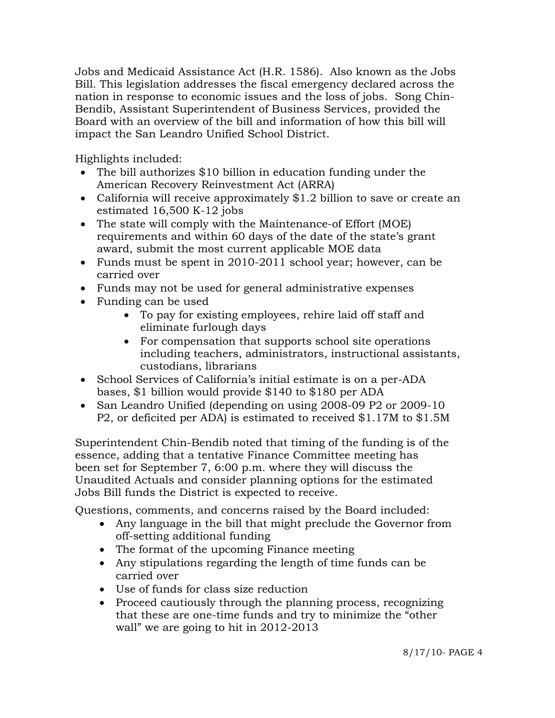Jobs and Medicaid Assistance Act (H.R. 1586). Also known as the Jobs Bill. This legislation addresses the fiscal emergency declared across the nation in response to economic issues and the loss of jobs. Song Chin-Bendib, Assistant Superintendent of Business Services, provided the Board with an overview of the bill and information of how this bill will impact the San Leandro Unified School District.

Highlights included:

- The bill authorizes \$10 billion in education funding under the American Recovery Reinvestment Act (ARRA)
- California will receive approximately \$1.2 billion to save or create an estimated 16,500 K-12 jobs
- The state will comply with the Maintenance-of Effort (MOE) requirements and within 60 days of the date of the state's grant award, submit the most current applicable MOE data
- Funds must be spent in 2010-2011 school year; however, can be carried over
- Funds may not be used for general administrative expenses
- Funding can be used
	- To pay for existing employees, rehire laid off staff and eliminate furlough days
	- For compensation that supports school site operations including teachers, administrators, instructional assistants, custodians, librarians
- School Services of California's initial estimate is on a per-ADA bases, \$1 billion would provide \$140 to \$180 per ADA
- San Leandro Unified (depending on using 2008-09 P2 or 2009-10 P2, or deficited per ADA) is estimated to received \$1.17M to \$1.5M

 Superintendent Chin-Bendib noted that timing of the funding is of the essence, adding that a tentative Finance Committee meeting has been set for September 7, 6:00 p.m. where they will discuss the Unaudited Actuals and consider planning options for the estimated Jobs Bill funds the District is expected to receive.

Questions, comments, and concerns raised by the Board included:

- Any language in the bill that might preclude the Governor from off-setting additional funding
- The format of the upcoming Finance meeting
- Any stipulations regarding the length of time funds can be carried over
- Use of funds for class size reduction
- Proceed cautiously through the planning process, recognizing that these are one-time funds and try to minimize the "other wall" we are going to hit in 2012-2013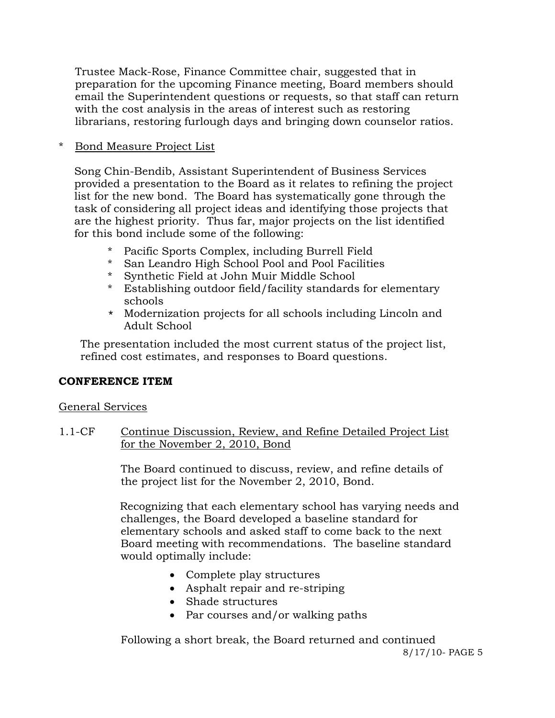Trustee Mack-Rose, Finance Committee chair, suggested that in preparation for the upcoming Finance meeting, Board members should email the Superintendent questions or requests, so that staff can return with the cost analysis in the areas of interest such as restoring librarians, restoring furlough days and bringing down counselor ratios.

### \* Bond Measure Project List

Song Chin-Bendib, Assistant Superintendent of Business Services provided a presentation to the Board as it relates to refining the project list for the new bond. The Board has systematically gone through the task of considering all project ideas and identifying those projects that are the highest priority. Thus far, major projects on the list identified for this bond include some of the following:

- \* Pacific Sports Complex, including Burrell Field
- \* San Leandro High School Pool and Pool Facilities
- \* Synthetic Field at John Muir Middle School
- \* Establishing outdoor field/facility standards for elementary schools
- \* Modernization projects for all schools including Lincoln and Adult School

The presentation included the most current status of the project list, refined cost estimates, and responses to Board questions.

# **CONFERENCE ITEM**

### General Services

## 1.1-CF Continue Discussion, Review, and Refine Detailed Project List for the November 2, 2010, Bond

The Board continued to discuss, review, and refine details of the project list for the November 2, 2010, Bond.

Recognizing that each elementary school has varying needs and challenges, the Board developed a baseline standard for elementary schools and asked staff to come back to the next Board meeting with recommendations. The baseline standard would optimally include:

- Complete play structures
- Asphalt repair and re-striping
- Shade structures
- Par courses and/or walking paths

Following a short break, the Board returned and continued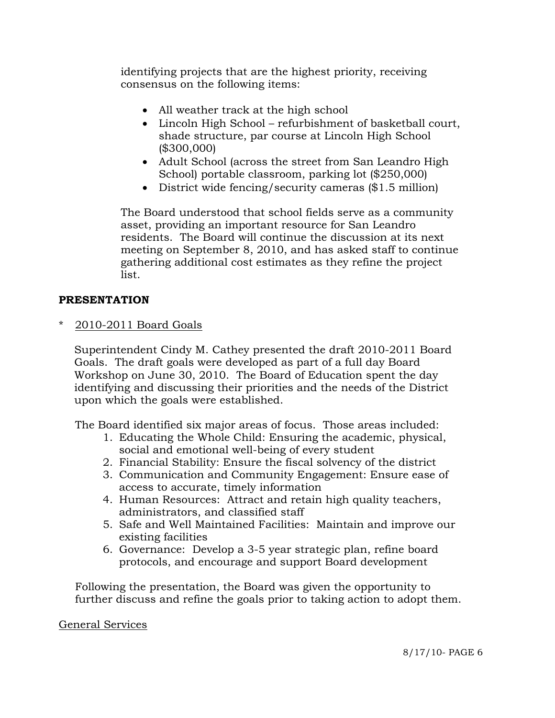identifying projects that are the highest priority, receiving consensus on the following items:

- All weather track at the high school
- Lincoln High School refurbishment of basketball court, shade structure, par course at Lincoln High School (\$300,000)
- Adult School (across the street from San Leandro High School) portable classroom, parking lot (\$250,000)
- District wide fencing/security cameras (\$1.5 million)

The Board understood that school fields serve as a community asset, providing an important resource for San Leandro residents. The Board will continue the discussion at its next meeting on September 8, 2010, and has asked staff to continue gathering additional cost estimates as they refine the project list.

### **PRESENTATION**

2010-2011 Board Goals

Superintendent Cindy M. Cathey presented the draft 2010-2011 Board Goals. The draft goals were developed as part of a full day Board Workshop on June 30, 2010. The Board of Education spent the day identifying and discussing their priorities and the needs of the District upon which the goals were established.

The Board identified six major areas of focus. Those areas included:

- 1. Educating the Whole Child: Ensuring the academic, physical, social and emotional well-being of every student
- 2. Financial Stability: Ensure the fiscal solvency of the district
- 3. Communication and Community Engagement: Ensure ease of access to accurate, timely information
- 4. Human Resources: Attract and retain high quality teachers, administrators, and classified staff
- 5. Safe and Well Maintained Facilities: Maintain and improve our existing facilities
- 6. Governance: Develop a 3-5 year strategic plan, refine board protocols, and encourage and support Board development

 Following the presentation, the Board was given the opportunity to further discuss and refine the goals prior to taking action to adopt them.

#### General Services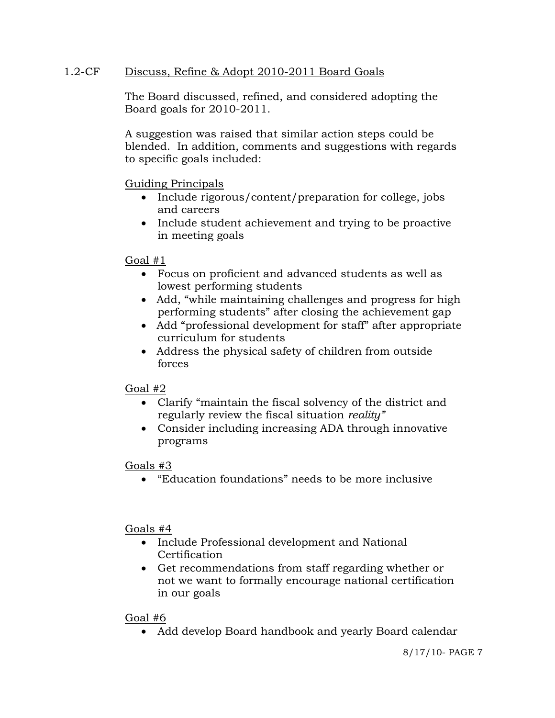## 1.2-CF Discuss, Refine & Adopt 2010-2011 Board Goals

The Board discussed, refined, and considered adopting the Board goals for 2010-2011.

A suggestion was raised that similar action steps could be blended. In addition, comments and suggestions with regards to specific goals included:

Guiding Principals

- Include rigorous/content/preparation for college, jobs and careers
- Include student achievement and trying to be proactive in meeting goals

Goal  $#1$ 

- Focus on proficient and advanced students as well as lowest performing students
- Add, "while maintaining challenges and progress for high performing students" after closing the achievement gap
- Add "professional development for staff" after appropriate curriculum for students
- Address the physical safety of children from outside forces

# Goal #2

- Clarify "maintain the fiscal solvency of the district and regularly review the fiscal situation *reality"*
- Consider including increasing ADA through innovative programs

# Goals #3

"Education foundations" needs to be more inclusive

### Goals #4

- Include Professional development and National **Certification**
- Get recommendations from staff regarding whether or not we want to formally encourage national certification in our goals

### Goal #6

Add develop Board handbook and yearly Board calendar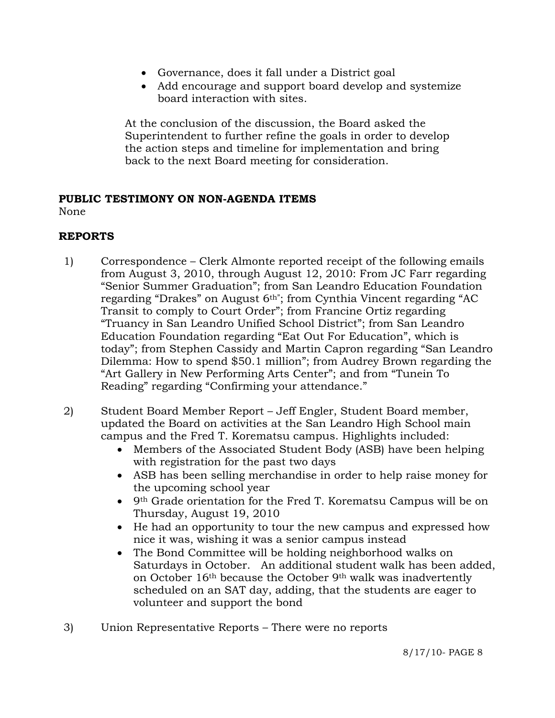- Governance, does it fall under a District goal
- Add encourage and support board develop and systemize board interaction with sites.

At the conclusion of the discussion, the Board asked the Superintendent to further refine the goals in order to develop the action steps and timeline for implementation and bring back to the next Board meeting for consideration.

#### **PUBLIC TESTIMONY ON NON-AGENDA ITEMS** None

## **REPORTS**

- 1) Correspondence Clerk Almonte reported receipt of the following emails from August 3, 2010, through August 12, 2010: From JC Farr regarding "Senior Summer Graduation"; from San Leandro Education Foundation regarding "Drakes" on August 6<sup>th</sup>"; from Cynthia Vincent regarding "AC Transit to comply to Court Order"; from Francine Ortiz regarding "Truancy in San Leandro Unified School District"; from San Leandro Education Foundation regarding "Eat Out For Education", which is today"; from Stephen Cassidy and Martin Capron regarding "San Leandro Dilemma: How to spend \$50.1 million"; from Audrey Brown regarding the "Art Gallery in New Performing Arts Center"; and from "Tunein To Reading" regarding "Confirming your attendance."
- 2) Student Board Member Report Jeff Engler, Student Board member, updated the Board on activities at the San Leandro High School main campus and the Fred T. Korematsu campus. Highlights included:
	- Members of the Associated Student Body (ASB) have been helping with registration for the past two days
	- ASB has been selling merchandise in order to help raise money for the upcoming school year
	- 9th Grade orientation for the Fred T. Korematsu Campus will be on Thursday, August 19, 2010
	- He had an opportunity to tour the new campus and expressed how nice it was, wishing it was a senior campus instead
	- The Bond Committee will be holding neighborhood walks on Saturdays in October. An additional student walk has been added, on October 16th because the October 9th walk was inadvertently scheduled on an SAT day, adding, that the students are eager to volunteer and support the bond
- 3) Union Representative Reports There were no reports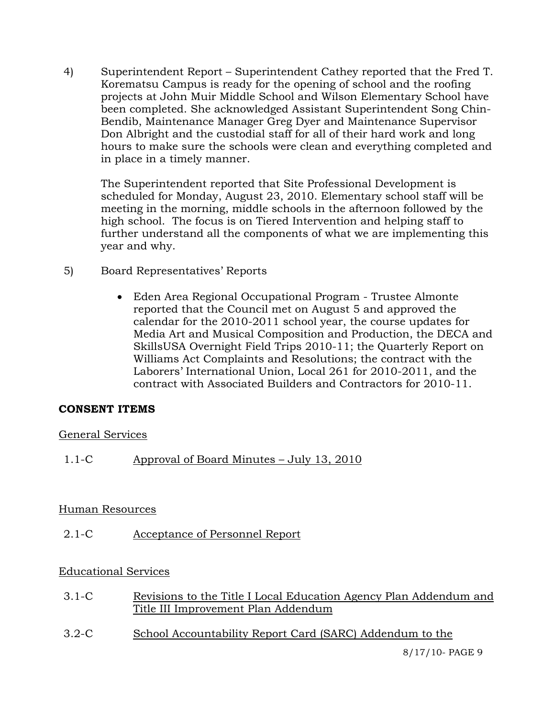4) Superintendent Report – Superintendent Cathey reported that the Fred T. Korematsu Campus is ready for the opening of school and the roofing projects at John Muir Middle School and Wilson Elementary School have been completed. She acknowledged Assistant Superintendent Song Chin-Bendib, Maintenance Manager Greg Dyer and Maintenance Supervisor Don Albright and the custodial staff for all of their hard work and long hours to make sure the schools were clean and everything completed and in place in a timely manner.

The Superintendent reported that Site Professional Development is scheduled for Monday, August 23, 2010. Elementary school staff will be meeting in the morning, middle schools in the afternoon followed by the high school. The focus is on Tiered Intervention and helping staff to further understand all the components of what we are implementing this year and why.

- 5) Board Representatives' Reports
	- Eden Area Regional Occupational Program Trustee Almonte reported that the Council met on August 5 and approved the calendar for the 2010-2011 school year, the course updates for Media Art and Musical Composition and Production, the DECA and SkillsUSA Overnight Field Trips 2010-11; the Quarterly Report on Williams Act Complaints and Resolutions; the contract with the Laborers' International Union, Local 261 for 2010-2011, and the contract with Associated Builders and Contractors for 2010-11.

### **CONSENT ITEMS**

### General Services

1.1-C Approval of Board Minutes – July 13, 2010

### Human Resources

2.1-C Acceptance of Personnel Report

### Educational Services

- 3.1-C Revisions to the Title I Local Education Agency Plan Addendum and Title III Improvement Plan Addendum
- 3.2-C School Accountability Report Card (SARC) Addendum to the

8/17/10- PAGE 9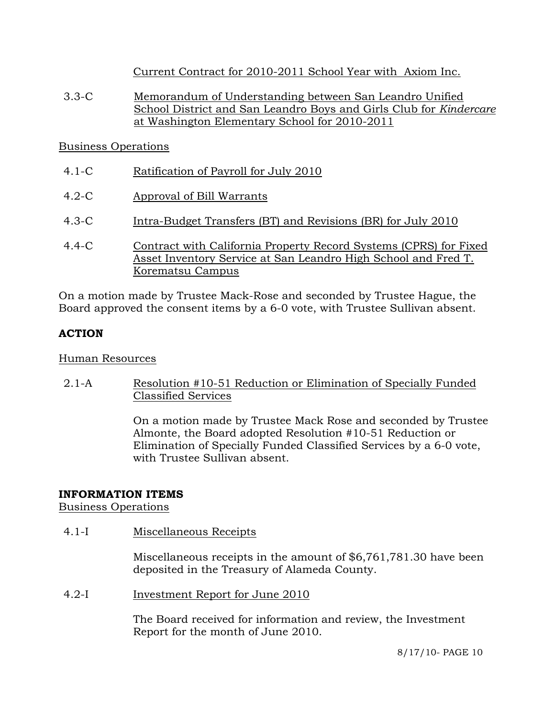Current Contract for 2010-2011 School Year with Axiom Inc.

3.3-C Memorandum of Understanding between San Leandro Unified School District and San Leandro Boys and Girls Club for *Kindercare* at Washington Elementary School for 2010-2011

## Business Operations

- 4.1-C Ratification of Payroll for July 2010
- 4.2-C Approval of Bill Warrants
- 4.3-C Intra-Budget Transfers (BT) and Revisions (BR) for July 2010
- 4.4-C Contract with California Property Record Systems (CPRS) for Fixed Asset Inventory Service at San Leandro High School and Fred T. Korematsu Campus

On a motion made by Trustee Mack-Rose and seconded by Trustee Hague, the Board approved the consent items by a 6-0 vote, with Trustee Sullivan absent.

# **ACTION**

# Human Resources

2.1-A Resolution #10-51 Reduction or Elimination of Specially Funded Classified Services

> On a motion made by Trustee Mack Rose and seconded by Trustee Almonte, the Board adopted Resolution #10-51 Reduction or Elimination of Specially Funded Classified Services by a 6-0 vote, with Trustee Sullivan absent.

# **INFORMATION ITEMS**

Business Operations

4.1-I Miscellaneous Receipts

Miscellaneous receipts in the amount of \$6,761,781.30 have been deposited in the Treasury of Alameda County.

4.2-I Investment Report for June 2010

The Board received for information and review, the Investment Report for the month of June 2010.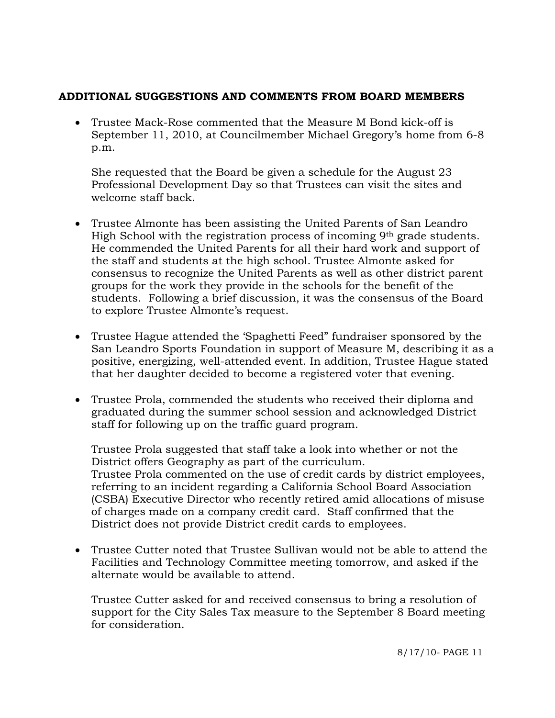### **ADDITIONAL SUGGESTIONS AND COMMENTS FROM BOARD MEMBERS**

 Trustee Mack-Rose commented that the Measure M Bond kick-off is September 11, 2010, at Councilmember Michael Gregory's home from 6-8 p.m.

She requested that the Board be given a schedule for the August 23 Professional Development Day so that Trustees can visit the sites and welcome staff back.

- Trustee Almonte has been assisting the United Parents of San Leandro High School with the registration process of incoming 9<sup>th</sup> grade students. He commended the United Parents for all their hard work and support of the staff and students at the high school. Trustee Almonte asked for consensus to recognize the United Parents as well as other district parent groups for the work they provide in the schools for the benefit of the students. Following a brief discussion, it was the consensus of the Board to explore Trustee Almonte's request.
- Trustee Hague attended the 'Spaghetti Feed" fundraiser sponsored by the San Leandro Sports Foundation in support of Measure M, describing it as a positive, energizing, well-attended event. In addition, Trustee Hague stated that her daughter decided to become a registered voter that evening.
- Trustee Prola, commended the students who received their diploma and graduated during the summer school session and acknowledged District staff for following up on the traffic guard program.

Trustee Prola suggested that staff take a look into whether or not the District offers Geography as part of the curriculum. Trustee Prola commented on the use of credit cards by district employees, referring to an incident regarding a California School Board Association (CSBA) Executive Director who recently retired amid allocations of misuse of charges made on a company credit card. Staff confirmed that the District does not provide District credit cards to employees.

 Trustee Cutter noted that Trustee Sullivan would not be able to attend the Facilities and Technology Committee meeting tomorrow, and asked if the alternate would be available to attend.

Trustee Cutter asked for and received consensus to bring a resolution of support for the City Sales Tax measure to the September 8 Board meeting for consideration.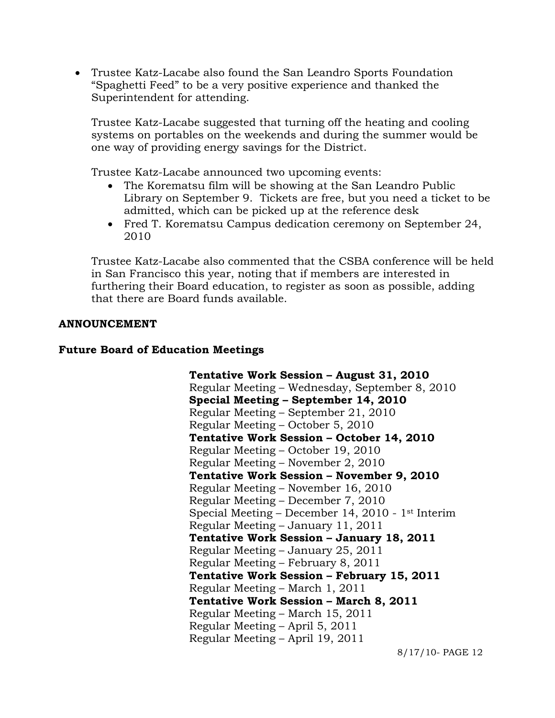Trustee Katz-Lacabe also found the San Leandro Sports Foundation "Spaghetti Feed" to be a very positive experience and thanked the Superintendent for attending.

Trustee Katz-Lacabe suggested that turning off the heating and cooling systems on portables on the weekends and during the summer would be one way of providing energy savings for the District.

Trustee Katz-Lacabe announced two upcoming events:

- The Korematsu film will be showing at the San Leandro Public Library on September 9. Tickets are free, but you need a ticket to be admitted, which can be picked up at the reference desk
- Fred T. Korematsu Campus dedication ceremony on September 24, 2010

Trustee Katz-Lacabe also commented that the CSBA conference will be held in San Francisco this year, noting that if members are interested in furthering their Board education, to register as soon as possible, adding that there are Board funds available.

#### **ANNOUNCEMENT**

#### **Future Board of Education Meetings**

**Tentative Work Session – August 31, 2010**  Regular Meeting – Wednesday, September 8, 2010  **Special Meeting – September 14, 2010**  Regular Meeting – September 21, 2010 Regular Meeting – October 5, 2010  **Tentative Work Session – October 14, 2010**  Regular Meeting – October 19, 2010 Regular Meeting – November 2, 2010  **Tentative Work Session – November 9, 2010**  Regular Meeting – November 16, 2010 Regular Meeting – December 7, 2010 Special Meeting – December 14, 2010 - 1st Interim Regular Meeting – January 11, 2011  **Tentative Work Session – January 18, 2011**  Regular Meeting – January 25, 2011 Regular Meeting – February 8, 2011  **Tentative Work Session – February 15, 2011**  Regular Meeting – March 1, 2011  **Tentative Work Session – March 8, 2011**  Regular Meeting – March 15, 2011 Regular Meeting – April 5, 2011 Regular Meeting – April 19, 2011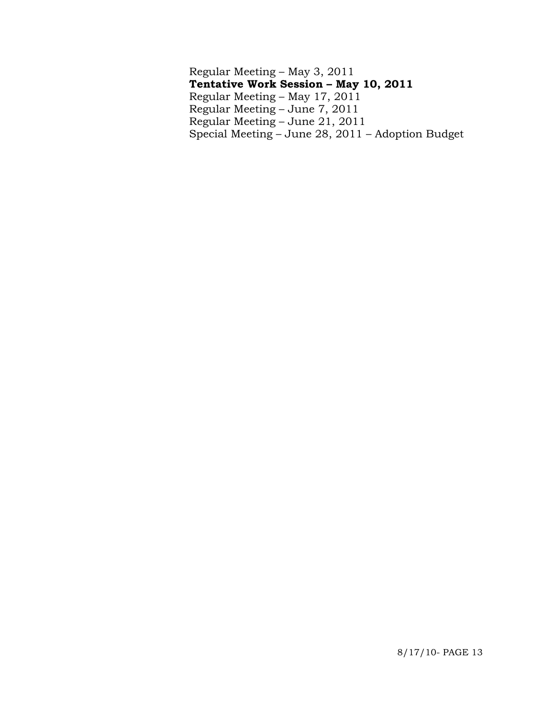Regular Meeting – May 3, 2011  **Tentative Work Session – May 10, 2011**  Regular Meeting – May 17, 2011 Regular Meeting – June 7, 2011 Regular Meeting – June 21, 2011 Special Meeting – June 28, 2011 – Adoption Budget